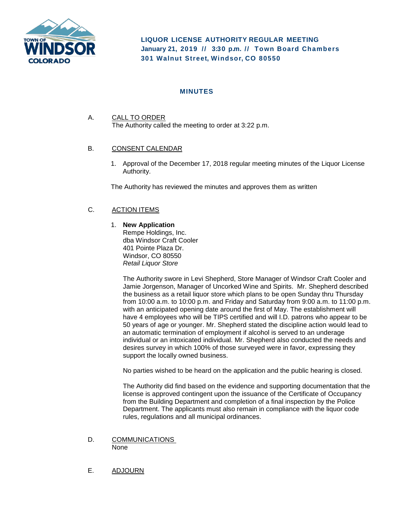

**LIQUOR LICENSE AUTHORITY REGULAR MEETING January 21, 2019 // 3:30 p. m. // Town Board Chambers 301 Walnut Street, Windsor, CO 80550**

## **MINUTES**

A. CALL TO ORDER The Authority called the meeting to order at 3:22 p.m.

## B. CONSENT CALENDAR

1. Approval of the December 17, 2018 regular meeting minutes of the Liquor License Authority.

The Authority has reviewed the minutes and approves them as written

## C. ACTION ITEMS

1. **New Application** 

Rempe Holdings, Inc. dba Windsor Craft Cooler 401 Pointe Plaza Dr. Windsor, CO 80550 *Retail Liquor Store*

The Authority swore in Levi Shepherd, Store Manager of Windsor Craft Cooler and Jamie Jorgenson, Manager of Uncorked Wine and Spirits. Mr. Shepherd described the business as a retail liquor store which plans to be open Sunday thru Thursday from 10:00 a.m. to 10:00 p.m. and Friday and Saturday from 9:00 a.m. to 11:00 p.m. with an anticipated opening date around the first of May. The establishment will have 4 employees who will be TIPS certified and will I.D. patrons who appear to be 50 years of age or younger. Mr. Shepherd stated the discipline action would lead to an automatic termination of employment if alcohol is served to an underage individual or an intoxicated individual. Mr. Shepherd also conducted the needs and desires survey in which 100% of those surveyed were in favor, expressing they support the locally owned business.

No parties wished to be heard on the application and the public hearing is closed.

The Authority did find based on the evidence and supporting documentation that the license is approved contingent upon the issuance of the Certificate of Occupancy from the Building Department and completion of a final inspection by the Police Department. The applicants must also remain in compliance with the liquor code rules, regulations and all municipal ordinances.

- D. COMMUNICATIONS None
- E. ADJOURN